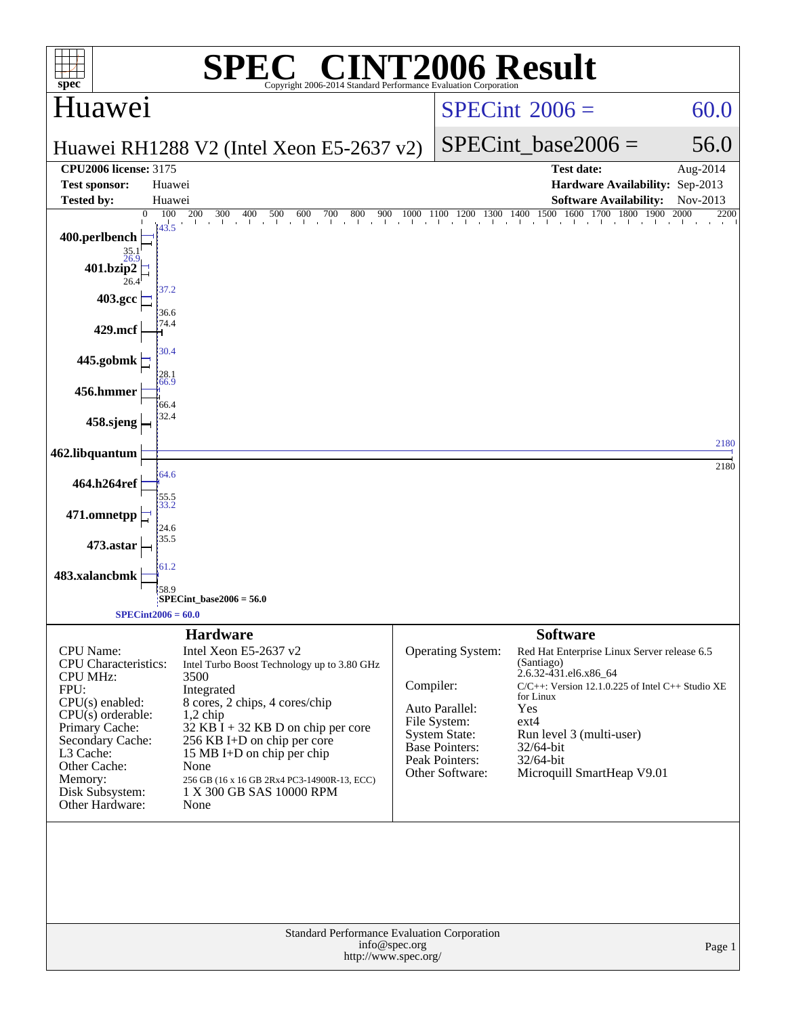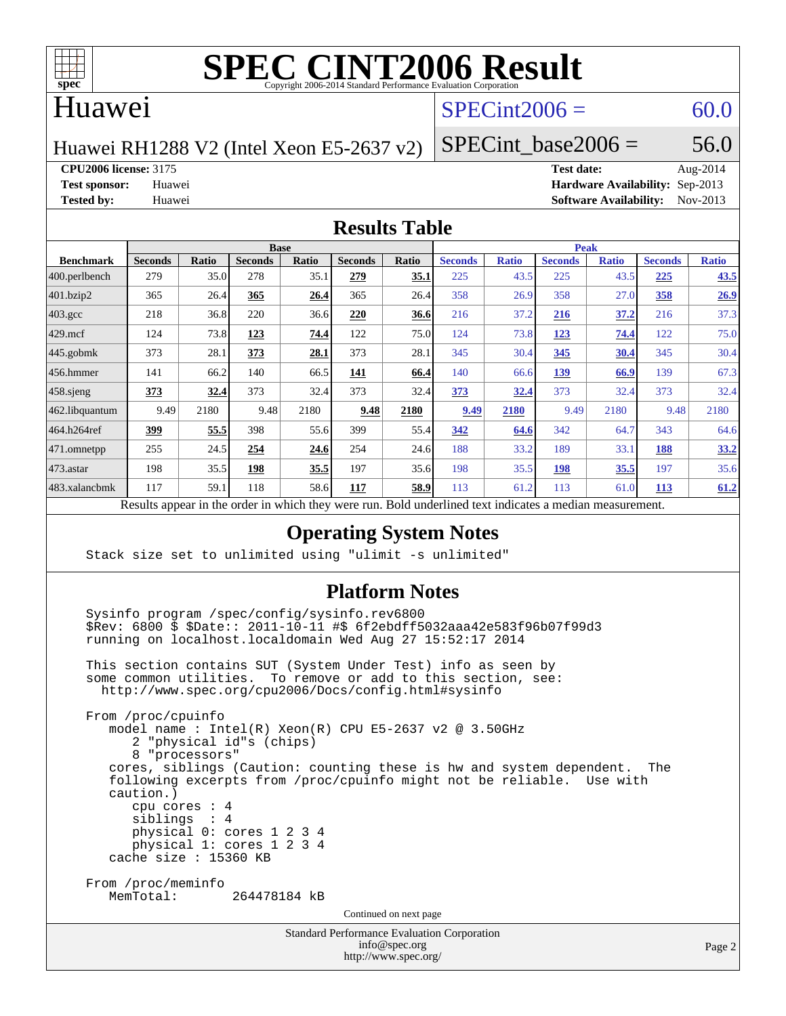

# **[SPEC CINT2006 Result](http://www.spec.org/auto/cpu2006/Docs/result-fields.html#SPECCINT2006Result)**

# Huawei

# $SPECint2006 = 60.0$  $SPECint2006 = 60.0$

Huawei RH1288 V2 (Intel Xeon E5-2637 v2)

SPECint base2006 =  $56.0$ 

**[CPU2006 license:](http://www.spec.org/auto/cpu2006/Docs/result-fields.html#CPU2006license)** 3175 **[Test date:](http://www.spec.org/auto/cpu2006/Docs/result-fields.html#Testdate)** Aug-2014

**[Test sponsor:](http://www.spec.org/auto/cpu2006/Docs/result-fields.html#Testsponsor)** Huawei **[Hardware Availability:](http://www.spec.org/auto/cpu2006/Docs/result-fields.html#HardwareAvailability)** Sep-2013 **[Tested by:](http://www.spec.org/auto/cpu2006/Docs/result-fields.html#Testedby)** Huawei **[Software Availability:](http://www.spec.org/auto/cpu2006/Docs/result-fields.html#SoftwareAvailability)** Nov-2013

#### **[Results Table](http://www.spec.org/auto/cpu2006/Docs/result-fields.html#ResultsTable)**

|                                                                                                                         | <b>Base</b>    |              |                |       |                |       | <b>Peak</b>    |              |                |              |                |              |
|-------------------------------------------------------------------------------------------------------------------------|----------------|--------------|----------------|-------|----------------|-------|----------------|--------------|----------------|--------------|----------------|--------------|
| <b>Benchmark</b>                                                                                                        | <b>Seconds</b> | <b>Ratio</b> | <b>Seconds</b> | Ratio | <b>Seconds</b> | Ratio | <b>Seconds</b> | <b>Ratio</b> | <b>Seconds</b> | <b>Ratio</b> | <b>Seconds</b> | <b>Ratio</b> |
| $ 400.\text{perlbench}$                                                                                                 | 279            | 35.0         | 278            | 35.1  | 279            | 35.1  | 225            | 43.5         | 225            | 43.5         | 225            | 43.5         |
| 401.bzip2                                                                                                               | 365            | 26.4         | 365            | 26.4  | 365            | 26.4  | 358            | 26.9         | 358            | 27.0         | 358            | 26.9         |
| $403.\mathrm{gcc}$                                                                                                      | 218            | 36.8         | 220            | 36.6  | 220            | 36.6  | 216            | 37.2         | 216            | 37.2         | 216            | 37.3         |
| $429$ .mcf                                                                                                              | 124            | 73.8         | 123            | 74.4  | 122            | 75.0  | 124            | 73.8         | <u>123</u>     | 74.4         | 122            | 75.0         |
| $445$ .gobmk                                                                                                            | 373            | 28.1         | 373            | 28.1  | 373            | 28.1  | 345            | 30.4         | 345            | 30.4         | 345            | 30.4         |
| $456.$ hmmer                                                                                                            | 141            | 66.2         | 140            | 66.5  | 141            | 66.4  | 140            | 66.6         | 139            | 66.9         | 139            | 67.3         |
| $458$ .sjeng                                                                                                            | <u>373</u>     | 32.4         | 373            | 32.4  | 373            | 32.4  | 373            | 32.4         | 373            | 32.4         | 373            | 32.4         |
| 462.libquantum                                                                                                          | 9.49           | 2180         | 9.48           | 2180  | 9.48           | 2180  | 9.49           | 2180         | 9.49           | 2180         | 9.48           | 2180         |
| 464.h264ref                                                                                                             | 399            | 55.5         | 398            | 55.6  | 399            | 55.4  | 342            | 64.6         | 342            | 64.7         | 343            | 64.6         |
| 471.omnetpp                                                                                                             | 255            | 24.5         | 254            | 24.6  | 254            | 24.6  | 188            | 33.2         | 189            | 33.1         | 188            | 33.2         |
| $473.$ astar                                                                                                            | 198            | 35.5         | 198            | 35.5  | 197            | 35.6  | 198            | 35.5         | 198            | 35.5         | 197            | 35.6         |
| 483.xalancbmk                                                                                                           | 117            | 59.1         | 118            | 58.6  | 117            | 58.9  | 113            | 61.2         | 113            | 61.0         | 113            | 61.2         |
| Describe announced in the conduction criticals there create more<br>Deld and called to contact the control of the disco |                |              |                |       |                |       |                |              |                |              |                |              |

Results appear in the [order in which they were run.](http://www.spec.org/auto/cpu2006/Docs/result-fields.html#RunOrder) Bold underlined text [indicates a median measurement.](http://www.spec.org/auto/cpu2006/Docs/result-fields.html#Median)

### **[Operating System Notes](http://www.spec.org/auto/cpu2006/Docs/result-fields.html#OperatingSystemNotes)**

Stack size set to unlimited using "ulimit -s unlimited"

#### **[Platform Notes](http://www.spec.org/auto/cpu2006/Docs/result-fields.html#PlatformNotes)**

Standard Performance Evaluation Corporation [info@spec.org](mailto:info@spec.org) Sysinfo program /spec/config/sysinfo.rev6800 \$Rev: 6800 \$ \$Date:: 2011-10-11 #\$ 6f2ebdff5032aaa42e583f96b07f99d3 running on localhost.localdomain Wed Aug 27 15:52:17 2014 This section contains SUT (System Under Test) info as seen by some common utilities. To remove or add to this section, see: <http://www.spec.org/cpu2006/Docs/config.html#sysinfo> From /proc/cpuinfo model name : Intel(R) Xeon(R) CPU E5-2637 v2 @ 3.50GHz 2 "physical id"s (chips) 8 "processors" cores, siblings (Caution: counting these is hw and system dependent. The following excerpts from /proc/cpuinfo might not be reliable. Use with caution.) cpu cores : 4 siblings : 4 physical 0: cores 1 2 3 4 physical 1: cores 1 2 3 4 cache size : 15360 KB From /proc/meminfo<br>MemTotal: 264478184 kB Continued on next page

<http://www.spec.org/>

Page 2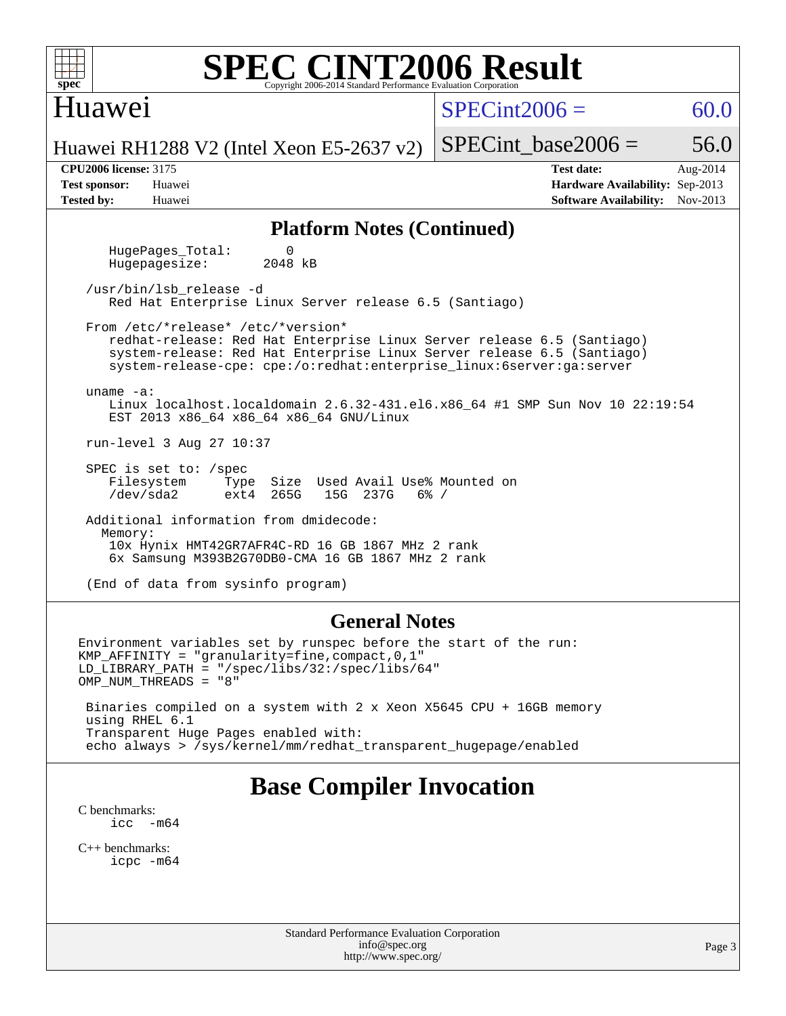| <b>SPEC CINT2006 Result</b><br>$spec^{\circ}$<br>Copyright 2006-2014 Standard Performance Evaluation Corporation                                                                                                                                               |                                                                                                               |  |  |  |  |  |  |  |  |
|----------------------------------------------------------------------------------------------------------------------------------------------------------------------------------------------------------------------------------------------------------------|---------------------------------------------------------------------------------------------------------------|--|--|--|--|--|--|--|--|
| Huawei                                                                                                                                                                                                                                                         | $SPECint2006 =$<br>60.0                                                                                       |  |  |  |  |  |  |  |  |
| Huawei RH1288 V2 (Intel Xeon E5-2637 v2)                                                                                                                                                                                                                       | 56.0<br>$SPECint\_base2006 =$                                                                                 |  |  |  |  |  |  |  |  |
| <b>CPU2006</b> license: 3175<br><b>Test sponsor:</b><br>Huawei<br><b>Tested by:</b><br>Huawei                                                                                                                                                                  | <b>Test date:</b><br>Aug-2014<br>Hardware Availability: Sep-2013<br>Nov-2013<br><b>Software Availability:</b> |  |  |  |  |  |  |  |  |
| <b>Platform Notes (Continued)</b>                                                                                                                                                                                                                              |                                                                                                               |  |  |  |  |  |  |  |  |
| HugePages_Total:<br>0<br>Hugepagesize:<br>2048 kB                                                                                                                                                                                                              |                                                                                                               |  |  |  |  |  |  |  |  |
| /usr/bin/lsb_release -d<br>Red Hat Enterprise Linux Server release 6.5 (Santiago)                                                                                                                                                                              |                                                                                                               |  |  |  |  |  |  |  |  |
| From /etc/*release* /etc/*version*<br>redhat-release: Red Hat Enterprise Linux Server release 6.5 (Santiago)<br>system-release: Red Hat Enterprise Linux Server release 6.5 (Santiago)<br>system-release-cpe: cpe:/o:redhat:enterprise_linux:6server:ga:server |                                                                                                               |  |  |  |  |  |  |  |  |
| $uname -a$ :<br>Linux localhost.localdomain 2.6.32-431.el6.x86_64 #1 SMP Sun Nov 10 22:19:54<br>EST 2013 x86_64 x86_64 x86_64 GNU/Linux                                                                                                                        |                                                                                                               |  |  |  |  |  |  |  |  |
| run-level 3 Aug 27 10:37                                                                                                                                                                                                                                       |                                                                                                               |  |  |  |  |  |  |  |  |
| SPEC is set to: /spec<br>Size Used Avail Use% Mounted on<br>Filesystem<br>Type<br>/dev/sda2<br>265G<br>15G 237G<br>$6\%$ /<br>ext4                                                                                                                             |                                                                                                               |  |  |  |  |  |  |  |  |
| Additional information from dmidecode:<br>Memory:<br>10x Hynix HMT42GR7AFR4C-RD 16 GB 1867 MHz 2 rank<br>6x Samsung M393B2G70DB0-CMA 16 GB 1867 MHz 2 rank                                                                                                     |                                                                                                               |  |  |  |  |  |  |  |  |
| (End of data from sysinfo program)                                                                                                                                                                                                                             |                                                                                                               |  |  |  |  |  |  |  |  |
| <b>General Notes</b>                                                                                                                                                                                                                                           |                                                                                                               |  |  |  |  |  |  |  |  |
| Environment variables set by runspec before the start of the run:<br>KMP AFFINITY = "granularity=fine, compact, $0, 1$ "<br>$LD_LIBRARY_PATH = "/gpec/libs/32://spec/libs/64"$<br>OMP_NUM_THREADS = "8"                                                        |                                                                                                               |  |  |  |  |  |  |  |  |
| Binaries compiled on a system with 2 x Xeon X5645 CPU + 16GB memory<br>using RHEL 6.1                                                                                                                                                                          |                                                                                                               |  |  |  |  |  |  |  |  |

 Transparent Huge Pages enabled with: echo always > /sys/kernel/mm/redhat\_transparent\_hugepage/enabled

# **[Base Compiler Invocation](http://www.spec.org/auto/cpu2006/Docs/result-fields.html#BaseCompilerInvocation)**

[C benchmarks](http://www.spec.org/auto/cpu2006/Docs/result-fields.html#Cbenchmarks):  $\text{icc}$  -m64

[C++ benchmarks:](http://www.spec.org/auto/cpu2006/Docs/result-fields.html#CXXbenchmarks) [icpc -m64](http://www.spec.org/cpu2006/results/res2014q3/cpu2006-20140901-31122.flags.html#user_CXXbase_intel_icpc_64bit_fc66a5337ce925472a5c54ad6a0de310)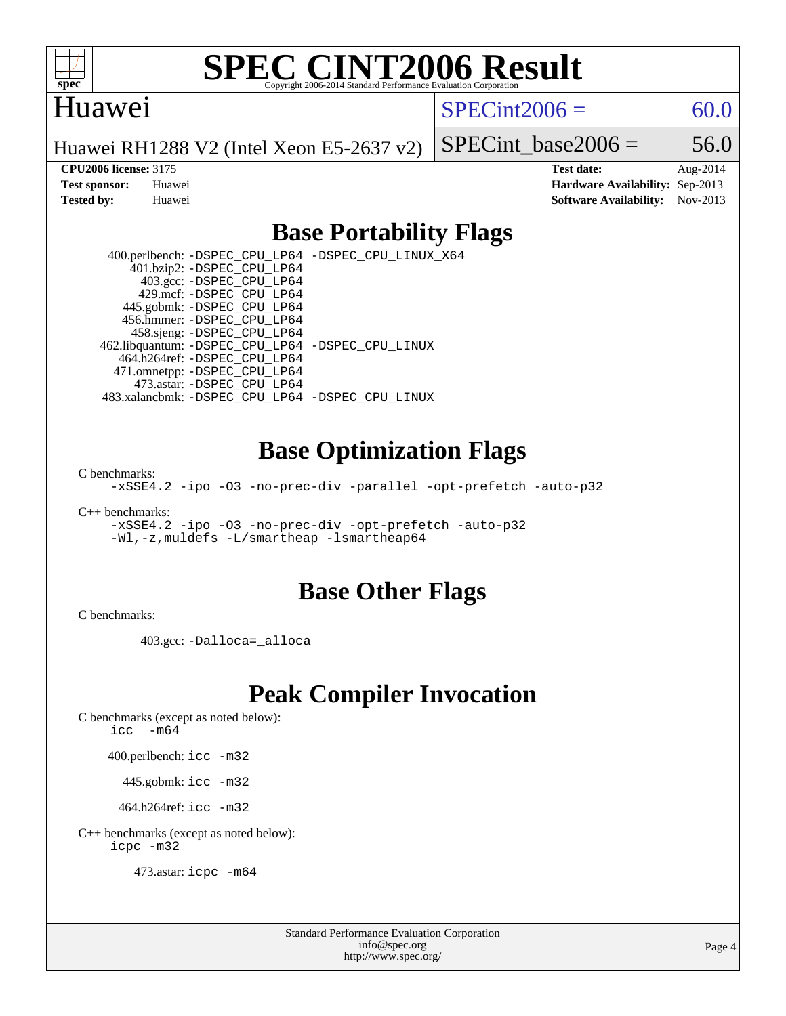

# **[SPEC CINT2006 Result](http://www.spec.org/auto/cpu2006/Docs/result-fields.html#SPECCINT2006Result)**

## Huawei

 $SPECint2006 = 60.0$  $SPECint2006 = 60.0$ 

Huawei RH1288 V2 (Intel Xeon E5-2637 v2)

SPECint base2006 =  $56.0$ 

**[CPU2006 license:](http://www.spec.org/auto/cpu2006/Docs/result-fields.html#CPU2006license)** 3175 **[Test date:](http://www.spec.org/auto/cpu2006/Docs/result-fields.html#Testdate)** Aug-2014 **[Test sponsor:](http://www.spec.org/auto/cpu2006/Docs/result-fields.html#Testsponsor)** Huawei **[Hardware Availability:](http://www.spec.org/auto/cpu2006/Docs/result-fields.html#HardwareAvailability)** Sep-2013 **[Tested by:](http://www.spec.org/auto/cpu2006/Docs/result-fields.html#Testedby)** Huawei **[Software Availability:](http://www.spec.org/auto/cpu2006/Docs/result-fields.html#SoftwareAvailability)** Nov-2013

# **[Base Portability Flags](http://www.spec.org/auto/cpu2006/Docs/result-fields.html#BasePortabilityFlags)**

 400.perlbench: [-DSPEC\\_CPU\\_LP64](http://www.spec.org/cpu2006/results/res2014q3/cpu2006-20140901-31122.flags.html#b400.perlbench_basePORTABILITY_DSPEC_CPU_LP64) [-DSPEC\\_CPU\\_LINUX\\_X64](http://www.spec.org/cpu2006/results/res2014q3/cpu2006-20140901-31122.flags.html#b400.perlbench_baseCPORTABILITY_DSPEC_CPU_LINUX_X64) 401.bzip2: [-DSPEC\\_CPU\\_LP64](http://www.spec.org/cpu2006/results/res2014q3/cpu2006-20140901-31122.flags.html#suite_basePORTABILITY401_bzip2_DSPEC_CPU_LP64) 403.gcc: [-DSPEC\\_CPU\\_LP64](http://www.spec.org/cpu2006/results/res2014q3/cpu2006-20140901-31122.flags.html#suite_basePORTABILITY403_gcc_DSPEC_CPU_LP64) 429.mcf: [-DSPEC\\_CPU\\_LP64](http://www.spec.org/cpu2006/results/res2014q3/cpu2006-20140901-31122.flags.html#suite_basePORTABILITY429_mcf_DSPEC_CPU_LP64) 445.gobmk: [-DSPEC\\_CPU\\_LP64](http://www.spec.org/cpu2006/results/res2014q3/cpu2006-20140901-31122.flags.html#suite_basePORTABILITY445_gobmk_DSPEC_CPU_LP64) 456.hmmer: [-DSPEC\\_CPU\\_LP64](http://www.spec.org/cpu2006/results/res2014q3/cpu2006-20140901-31122.flags.html#suite_basePORTABILITY456_hmmer_DSPEC_CPU_LP64) 458.sjeng: [-DSPEC\\_CPU\\_LP64](http://www.spec.org/cpu2006/results/res2014q3/cpu2006-20140901-31122.flags.html#suite_basePORTABILITY458_sjeng_DSPEC_CPU_LP64) 462.libquantum: [-DSPEC\\_CPU\\_LP64](http://www.spec.org/cpu2006/results/res2014q3/cpu2006-20140901-31122.flags.html#suite_basePORTABILITY462_libquantum_DSPEC_CPU_LP64) [-DSPEC\\_CPU\\_LINUX](http://www.spec.org/cpu2006/results/res2014q3/cpu2006-20140901-31122.flags.html#b462.libquantum_baseCPORTABILITY_DSPEC_CPU_LINUX) 464.h264ref: [-DSPEC\\_CPU\\_LP64](http://www.spec.org/cpu2006/results/res2014q3/cpu2006-20140901-31122.flags.html#suite_basePORTABILITY464_h264ref_DSPEC_CPU_LP64) 471.omnetpp: [-DSPEC\\_CPU\\_LP64](http://www.spec.org/cpu2006/results/res2014q3/cpu2006-20140901-31122.flags.html#suite_basePORTABILITY471_omnetpp_DSPEC_CPU_LP64) 473.astar: [-DSPEC\\_CPU\\_LP64](http://www.spec.org/cpu2006/results/res2014q3/cpu2006-20140901-31122.flags.html#suite_basePORTABILITY473_astar_DSPEC_CPU_LP64) 483.xalancbmk: [-DSPEC\\_CPU\\_LP64](http://www.spec.org/cpu2006/results/res2014q3/cpu2006-20140901-31122.flags.html#suite_basePORTABILITY483_xalancbmk_DSPEC_CPU_LP64) [-DSPEC\\_CPU\\_LINUX](http://www.spec.org/cpu2006/results/res2014q3/cpu2006-20140901-31122.flags.html#b483.xalancbmk_baseCXXPORTABILITY_DSPEC_CPU_LINUX)

## **[Base Optimization Flags](http://www.spec.org/auto/cpu2006/Docs/result-fields.html#BaseOptimizationFlags)**

[C benchmarks](http://www.spec.org/auto/cpu2006/Docs/result-fields.html#Cbenchmarks):

[-xSSE4.2](http://www.spec.org/cpu2006/results/res2014q3/cpu2006-20140901-31122.flags.html#user_CCbase_f-xSSE42_f91528193cf0b216347adb8b939d4107) [-ipo](http://www.spec.org/cpu2006/results/res2014q3/cpu2006-20140901-31122.flags.html#user_CCbase_f-ipo) [-O3](http://www.spec.org/cpu2006/results/res2014q3/cpu2006-20140901-31122.flags.html#user_CCbase_f-O3) [-no-prec-div](http://www.spec.org/cpu2006/results/res2014q3/cpu2006-20140901-31122.flags.html#user_CCbase_f-no-prec-div) [-parallel](http://www.spec.org/cpu2006/results/res2014q3/cpu2006-20140901-31122.flags.html#user_CCbase_f-parallel) [-opt-prefetch](http://www.spec.org/cpu2006/results/res2014q3/cpu2006-20140901-31122.flags.html#user_CCbase_f-opt-prefetch) [-auto-p32](http://www.spec.org/cpu2006/results/res2014q3/cpu2006-20140901-31122.flags.html#user_CCbase_f-auto-p32)

[C++ benchmarks:](http://www.spec.org/auto/cpu2006/Docs/result-fields.html#CXXbenchmarks)

[-xSSE4.2](http://www.spec.org/cpu2006/results/res2014q3/cpu2006-20140901-31122.flags.html#user_CXXbase_f-xSSE42_f91528193cf0b216347adb8b939d4107) [-ipo](http://www.spec.org/cpu2006/results/res2014q3/cpu2006-20140901-31122.flags.html#user_CXXbase_f-ipo) [-O3](http://www.spec.org/cpu2006/results/res2014q3/cpu2006-20140901-31122.flags.html#user_CXXbase_f-O3) [-no-prec-div](http://www.spec.org/cpu2006/results/res2014q3/cpu2006-20140901-31122.flags.html#user_CXXbase_f-no-prec-div) [-opt-prefetch](http://www.spec.org/cpu2006/results/res2014q3/cpu2006-20140901-31122.flags.html#user_CXXbase_f-opt-prefetch) [-auto-p32](http://www.spec.org/cpu2006/results/res2014q3/cpu2006-20140901-31122.flags.html#user_CXXbase_f-auto-p32) [-Wl,-z,muldefs](http://www.spec.org/cpu2006/results/res2014q3/cpu2006-20140901-31122.flags.html#user_CXXbase_link_force_multiple1_74079c344b956b9658436fd1b6dd3a8a) [-L/smartheap -lsmartheap64](http://www.spec.org/cpu2006/results/res2014q3/cpu2006-20140901-31122.flags.html#user_CXXbase_SmartHeap64_5e654037dadeae1fe403ab4b4466e60b)

### **[Base Other Flags](http://www.spec.org/auto/cpu2006/Docs/result-fields.html#BaseOtherFlags)**

[C benchmarks](http://www.spec.org/auto/cpu2006/Docs/result-fields.html#Cbenchmarks):

403.gcc: [-Dalloca=\\_alloca](http://www.spec.org/cpu2006/results/res2014q3/cpu2006-20140901-31122.flags.html#b403.gcc_baseEXTRA_CFLAGS_Dalloca_be3056838c12de2578596ca5467af7f3)

# **[Peak Compiler Invocation](http://www.spec.org/auto/cpu2006/Docs/result-fields.html#PeakCompilerInvocation)**

[C benchmarks \(except as noted below\)](http://www.spec.org/auto/cpu2006/Docs/result-fields.html#Cbenchmarksexceptasnotedbelow):

icc  $-m64$ 

400.perlbench: [icc -m32](http://www.spec.org/cpu2006/results/res2014q3/cpu2006-20140901-31122.flags.html#user_peakCCLD400_perlbench_intel_icc_a6a621f8d50482236b970c6ac5f55f93)

445.gobmk: [icc -m32](http://www.spec.org/cpu2006/results/res2014q3/cpu2006-20140901-31122.flags.html#user_peakCCLD445_gobmk_intel_icc_a6a621f8d50482236b970c6ac5f55f93)

464.h264ref: [icc -m32](http://www.spec.org/cpu2006/results/res2014q3/cpu2006-20140901-31122.flags.html#user_peakCCLD464_h264ref_intel_icc_a6a621f8d50482236b970c6ac5f55f93)

[C++ benchmarks \(except as noted below\):](http://www.spec.org/auto/cpu2006/Docs/result-fields.html#CXXbenchmarksexceptasnotedbelow) [icpc -m32](http://www.spec.org/cpu2006/results/res2014q3/cpu2006-20140901-31122.flags.html#user_CXXpeak_intel_icpc_4e5a5ef1a53fd332b3c49e69c3330699)

473.astar: [icpc -m64](http://www.spec.org/cpu2006/results/res2014q3/cpu2006-20140901-31122.flags.html#user_peakCXXLD473_astar_intel_icpc_64bit_fc66a5337ce925472a5c54ad6a0de310)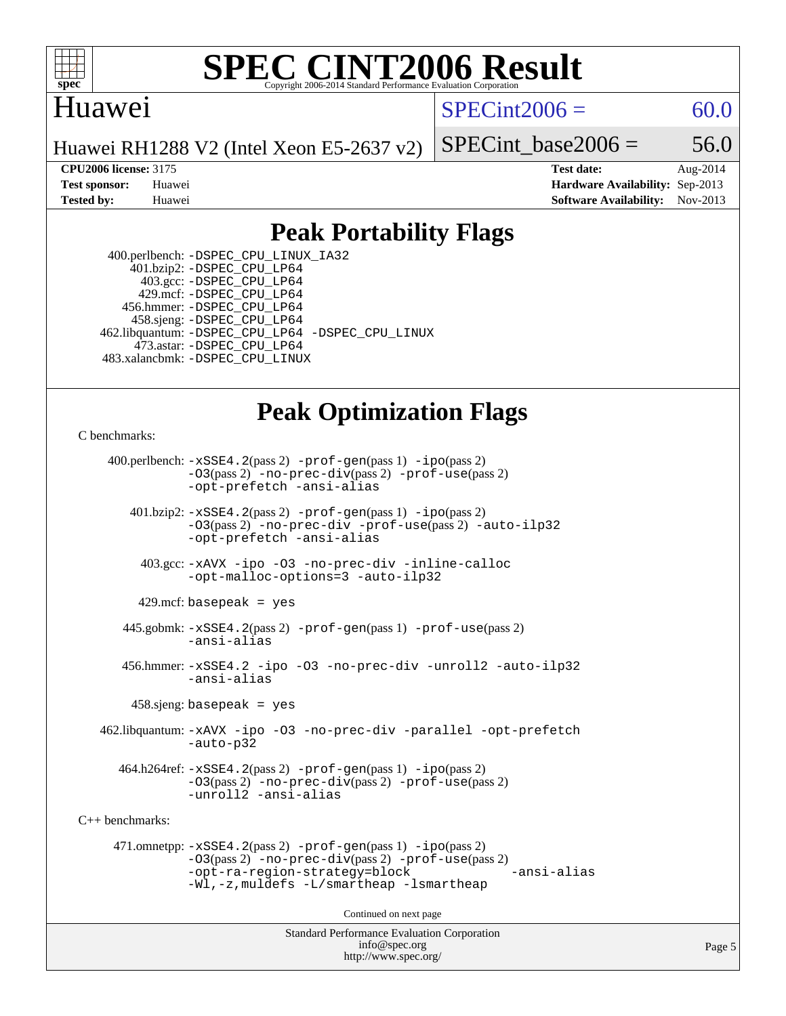

#### **[SPEC CINT2006 Result](http://www.spec.org/auto/cpu2006/Docs/result-fields.html#SPECCINT2006Result)** Copyright 2006-2014 Standard Performance Evaluation C

# Huawei

 $SPECint2006 = 60.0$  $SPECint2006 = 60.0$ 

Huawei RH1288 V2 (Intel Xeon E5-2637 v2)

SPECint base2006 =  $56.0$ 

**[CPU2006 license:](http://www.spec.org/auto/cpu2006/Docs/result-fields.html#CPU2006license)** 3175 **[Test date:](http://www.spec.org/auto/cpu2006/Docs/result-fields.html#Testdate)** Aug-2014 **[Test sponsor:](http://www.spec.org/auto/cpu2006/Docs/result-fields.html#Testsponsor)** Huawei **[Hardware Availability:](http://www.spec.org/auto/cpu2006/Docs/result-fields.html#HardwareAvailability)** Sep-2013 **[Tested by:](http://www.spec.org/auto/cpu2006/Docs/result-fields.html#Testedby)** Huawei **[Software Availability:](http://www.spec.org/auto/cpu2006/Docs/result-fields.html#SoftwareAvailability)** Nov-2013

# **[Peak Portability Flags](http://www.spec.org/auto/cpu2006/Docs/result-fields.html#PeakPortabilityFlags)**

 400.perlbench: [-DSPEC\\_CPU\\_LINUX\\_IA32](http://www.spec.org/cpu2006/results/res2014q3/cpu2006-20140901-31122.flags.html#b400.perlbench_peakCPORTABILITY_DSPEC_CPU_LINUX_IA32) 401.bzip2: [-DSPEC\\_CPU\\_LP64](http://www.spec.org/cpu2006/results/res2014q3/cpu2006-20140901-31122.flags.html#suite_peakPORTABILITY401_bzip2_DSPEC_CPU_LP64) 403.gcc: [-DSPEC\\_CPU\\_LP64](http://www.spec.org/cpu2006/results/res2014q3/cpu2006-20140901-31122.flags.html#suite_peakPORTABILITY403_gcc_DSPEC_CPU_LP64) 429.mcf: [-DSPEC\\_CPU\\_LP64](http://www.spec.org/cpu2006/results/res2014q3/cpu2006-20140901-31122.flags.html#suite_peakPORTABILITY429_mcf_DSPEC_CPU_LP64) 456.hmmer: [-DSPEC\\_CPU\\_LP64](http://www.spec.org/cpu2006/results/res2014q3/cpu2006-20140901-31122.flags.html#suite_peakPORTABILITY456_hmmer_DSPEC_CPU_LP64) 458.sjeng: [-DSPEC\\_CPU\\_LP64](http://www.spec.org/cpu2006/results/res2014q3/cpu2006-20140901-31122.flags.html#suite_peakPORTABILITY458_sjeng_DSPEC_CPU_LP64) 462.libquantum: [-DSPEC\\_CPU\\_LP64](http://www.spec.org/cpu2006/results/res2014q3/cpu2006-20140901-31122.flags.html#suite_peakPORTABILITY462_libquantum_DSPEC_CPU_LP64) [-DSPEC\\_CPU\\_LINUX](http://www.spec.org/cpu2006/results/res2014q3/cpu2006-20140901-31122.flags.html#b462.libquantum_peakCPORTABILITY_DSPEC_CPU_LINUX) 473.astar: [-DSPEC\\_CPU\\_LP64](http://www.spec.org/cpu2006/results/res2014q3/cpu2006-20140901-31122.flags.html#suite_peakPORTABILITY473_astar_DSPEC_CPU_LP64) 483.xalancbmk: [-DSPEC\\_CPU\\_LINUX](http://www.spec.org/cpu2006/results/res2014q3/cpu2006-20140901-31122.flags.html#b483.xalancbmk_peakCXXPORTABILITY_DSPEC_CPU_LINUX)

# **[Peak Optimization Flags](http://www.spec.org/auto/cpu2006/Docs/result-fields.html#PeakOptimizationFlags)**

[C benchmarks](http://www.spec.org/auto/cpu2006/Docs/result-fields.html#Cbenchmarks):

 400.perlbench: [-xSSE4.2](http://www.spec.org/cpu2006/results/res2014q3/cpu2006-20140901-31122.flags.html#user_peakPASS2_CFLAGSPASS2_LDCFLAGS400_perlbench_f-xSSE42_f91528193cf0b216347adb8b939d4107)(pass 2) [-prof-gen](http://www.spec.org/cpu2006/results/res2014q3/cpu2006-20140901-31122.flags.html#user_peakPASS1_CFLAGSPASS1_LDCFLAGS400_perlbench_prof_gen_e43856698f6ca7b7e442dfd80e94a8fc)(pass 1) [-ipo](http://www.spec.org/cpu2006/results/res2014q3/cpu2006-20140901-31122.flags.html#user_peakPASS2_CFLAGSPASS2_LDCFLAGS400_perlbench_f-ipo)(pass 2) [-O3](http://www.spec.org/cpu2006/results/res2014q3/cpu2006-20140901-31122.flags.html#user_peakPASS2_CFLAGSPASS2_LDCFLAGS400_perlbench_f-O3)(pass 2) [-no-prec-div](http://www.spec.org/cpu2006/results/res2014q3/cpu2006-20140901-31122.flags.html#user_peakPASS2_CFLAGSPASS2_LDCFLAGS400_perlbench_f-no-prec-div)(pass 2) [-prof-use](http://www.spec.org/cpu2006/results/res2014q3/cpu2006-20140901-31122.flags.html#user_peakPASS2_CFLAGSPASS2_LDCFLAGS400_perlbench_prof_use_bccf7792157ff70d64e32fe3e1250b55)(pass 2) [-opt-prefetch](http://www.spec.org/cpu2006/results/res2014q3/cpu2006-20140901-31122.flags.html#user_peakCOPTIMIZE400_perlbench_f-opt-prefetch) [-ansi-alias](http://www.spec.org/cpu2006/results/res2014q3/cpu2006-20140901-31122.flags.html#user_peakCOPTIMIZE400_perlbench_f-ansi-alias) 401.bzip2: [-xSSE4.2](http://www.spec.org/cpu2006/results/res2014q3/cpu2006-20140901-31122.flags.html#user_peakPASS2_CFLAGSPASS2_LDCFLAGS401_bzip2_f-xSSE42_f91528193cf0b216347adb8b939d4107)(pass 2) [-prof-gen](http://www.spec.org/cpu2006/results/res2014q3/cpu2006-20140901-31122.flags.html#user_peakPASS1_CFLAGSPASS1_LDCFLAGS401_bzip2_prof_gen_e43856698f6ca7b7e442dfd80e94a8fc)(pass 1) [-ipo](http://www.spec.org/cpu2006/results/res2014q3/cpu2006-20140901-31122.flags.html#user_peakPASS2_CFLAGSPASS2_LDCFLAGS401_bzip2_f-ipo)(pass 2) [-O3](http://www.spec.org/cpu2006/results/res2014q3/cpu2006-20140901-31122.flags.html#user_peakPASS2_CFLAGSPASS2_LDCFLAGS401_bzip2_f-O3)(pass 2) [-no-prec-div](http://www.spec.org/cpu2006/results/res2014q3/cpu2006-20140901-31122.flags.html#user_peakCOPTIMIZEPASS2_CFLAGSPASS2_LDCFLAGS401_bzip2_f-no-prec-div) [-prof-use](http://www.spec.org/cpu2006/results/res2014q3/cpu2006-20140901-31122.flags.html#user_peakPASS2_CFLAGSPASS2_LDCFLAGS401_bzip2_prof_use_bccf7792157ff70d64e32fe3e1250b55)(pass 2) [-auto-ilp32](http://www.spec.org/cpu2006/results/res2014q3/cpu2006-20140901-31122.flags.html#user_peakCOPTIMIZE401_bzip2_f-auto-ilp32) [-opt-prefetch](http://www.spec.org/cpu2006/results/res2014q3/cpu2006-20140901-31122.flags.html#user_peakCOPTIMIZE401_bzip2_f-opt-prefetch) [-ansi-alias](http://www.spec.org/cpu2006/results/res2014q3/cpu2006-20140901-31122.flags.html#user_peakCOPTIMIZE401_bzip2_f-ansi-alias) 403.gcc: [-xAVX](http://www.spec.org/cpu2006/results/res2014q3/cpu2006-20140901-31122.flags.html#user_peakCOPTIMIZE403_gcc_f-xAVX) [-ipo](http://www.spec.org/cpu2006/results/res2014q3/cpu2006-20140901-31122.flags.html#user_peakCOPTIMIZE403_gcc_f-ipo) [-O3](http://www.spec.org/cpu2006/results/res2014q3/cpu2006-20140901-31122.flags.html#user_peakCOPTIMIZE403_gcc_f-O3) [-no-prec-div](http://www.spec.org/cpu2006/results/res2014q3/cpu2006-20140901-31122.flags.html#user_peakCOPTIMIZE403_gcc_f-no-prec-div) [-inline-calloc](http://www.spec.org/cpu2006/results/res2014q3/cpu2006-20140901-31122.flags.html#user_peakCOPTIMIZE403_gcc_f-inline-calloc) [-opt-malloc-options=3](http://www.spec.org/cpu2006/results/res2014q3/cpu2006-20140901-31122.flags.html#user_peakCOPTIMIZE403_gcc_f-opt-malloc-options_13ab9b803cf986b4ee62f0a5998c2238) [-auto-ilp32](http://www.spec.org/cpu2006/results/res2014q3/cpu2006-20140901-31122.flags.html#user_peakCOPTIMIZE403_gcc_f-auto-ilp32)  $429$ .mcf: basepeak = yes 445.gobmk: [-xSSE4.2](http://www.spec.org/cpu2006/results/res2014q3/cpu2006-20140901-31122.flags.html#user_peakPASS2_CFLAGSPASS2_LDCFLAGS445_gobmk_f-xSSE42_f91528193cf0b216347adb8b939d4107)(pass 2) [-prof-gen](http://www.spec.org/cpu2006/results/res2014q3/cpu2006-20140901-31122.flags.html#user_peakPASS1_CFLAGSPASS1_LDCFLAGS445_gobmk_prof_gen_e43856698f6ca7b7e442dfd80e94a8fc)(pass 1) [-prof-use](http://www.spec.org/cpu2006/results/res2014q3/cpu2006-20140901-31122.flags.html#user_peakPASS2_CFLAGSPASS2_LDCFLAGS445_gobmk_prof_use_bccf7792157ff70d64e32fe3e1250b55)(pass 2) [-ansi-alias](http://www.spec.org/cpu2006/results/res2014q3/cpu2006-20140901-31122.flags.html#user_peakCOPTIMIZE445_gobmk_f-ansi-alias) 456.hmmer: [-xSSE4.2](http://www.spec.org/cpu2006/results/res2014q3/cpu2006-20140901-31122.flags.html#user_peakCOPTIMIZE456_hmmer_f-xSSE42_f91528193cf0b216347adb8b939d4107) [-ipo](http://www.spec.org/cpu2006/results/res2014q3/cpu2006-20140901-31122.flags.html#user_peakCOPTIMIZE456_hmmer_f-ipo) [-O3](http://www.spec.org/cpu2006/results/res2014q3/cpu2006-20140901-31122.flags.html#user_peakCOPTIMIZE456_hmmer_f-O3) [-no-prec-div](http://www.spec.org/cpu2006/results/res2014q3/cpu2006-20140901-31122.flags.html#user_peakCOPTIMIZE456_hmmer_f-no-prec-div) [-unroll2](http://www.spec.org/cpu2006/results/res2014q3/cpu2006-20140901-31122.flags.html#user_peakCOPTIMIZE456_hmmer_f-unroll_784dae83bebfb236979b41d2422d7ec2) [-auto-ilp32](http://www.spec.org/cpu2006/results/res2014q3/cpu2006-20140901-31122.flags.html#user_peakCOPTIMIZE456_hmmer_f-auto-ilp32) [-ansi-alias](http://www.spec.org/cpu2006/results/res2014q3/cpu2006-20140901-31122.flags.html#user_peakCOPTIMIZE456_hmmer_f-ansi-alias) 458.sjeng: basepeak = yes 462.libquantum: [-xAVX](http://www.spec.org/cpu2006/results/res2014q3/cpu2006-20140901-31122.flags.html#user_peakCOPTIMIZE462_libquantum_f-xAVX) [-ipo](http://www.spec.org/cpu2006/results/res2014q3/cpu2006-20140901-31122.flags.html#user_peakCOPTIMIZE462_libquantum_f-ipo) [-O3](http://www.spec.org/cpu2006/results/res2014q3/cpu2006-20140901-31122.flags.html#user_peakCOPTIMIZE462_libquantum_f-O3) [-no-prec-div](http://www.spec.org/cpu2006/results/res2014q3/cpu2006-20140901-31122.flags.html#user_peakCOPTIMIZE462_libquantum_f-no-prec-div) [-parallel](http://www.spec.org/cpu2006/results/res2014q3/cpu2006-20140901-31122.flags.html#user_peakCOPTIMIZE462_libquantum_f-parallel) [-opt-prefetch](http://www.spec.org/cpu2006/results/res2014q3/cpu2006-20140901-31122.flags.html#user_peakCOPTIMIZE462_libquantum_f-opt-prefetch) [-auto-p32](http://www.spec.org/cpu2006/results/res2014q3/cpu2006-20140901-31122.flags.html#user_peakCOPTIMIZE462_libquantum_f-auto-p32) 464.h264ref: [-xSSE4.2](http://www.spec.org/cpu2006/results/res2014q3/cpu2006-20140901-31122.flags.html#user_peakPASS2_CFLAGSPASS2_LDCFLAGS464_h264ref_f-xSSE42_f91528193cf0b216347adb8b939d4107)(pass 2) [-prof-gen](http://www.spec.org/cpu2006/results/res2014q3/cpu2006-20140901-31122.flags.html#user_peakPASS1_CFLAGSPASS1_LDCFLAGS464_h264ref_prof_gen_e43856698f6ca7b7e442dfd80e94a8fc)(pass 1) [-ipo](http://www.spec.org/cpu2006/results/res2014q3/cpu2006-20140901-31122.flags.html#user_peakPASS2_CFLAGSPASS2_LDCFLAGS464_h264ref_f-ipo)(pass 2) [-O3](http://www.spec.org/cpu2006/results/res2014q3/cpu2006-20140901-31122.flags.html#user_peakPASS2_CFLAGSPASS2_LDCFLAGS464_h264ref_f-O3)(pass 2) [-no-prec-div](http://www.spec.org/cpu2006/results/res2014q3/cpu2006-20140901-31122.flags.html#user_peakPASS2_CFLAGSPASS2_LDCFLAGS464_h264ref_f-no-prec-div)(pass 2) [-prof-use](http://www.spec.org/cpu2006/results/res2014q3/cpu2006-20140901-31122.flags.html#user_peakPASS2_CFLAGSPASS2_LDCFLAGS464_h264ref_prof_use_bccf7792157ff70d64e32fe3e1250b55)(pass 2) [-unroll2](http://www.spec.org/cpu2006/results/res2014q3/cpu2006-20140901-31122.flags.html#user_peakCOPTIMIZE464_h264ref_f-unroll_784dae83bebfb236979b41d2422d7ec2) [-ansi-alias](http://www.spec.org/cpu2006/results/res2014q3/cpu2006-20140901-31122.flags.html#user_peakCOPTIMIZE464_h264ref_f-ansi-alias) [C++ benchmarks:](http://www.spec.org/auto/cpu2006/Docs/result-fields.html#CXXbenchmarks) 471.omnetpp: [-xSSE4.2](http://www.spec.org/cpu2006/results/res2014q3/cpu2006-20140901-31122.flags.html#user_peakPASS2_CXXFLAGSPASS2_LDCXXFLAGS471_omnetpp_f-xSSE42_f91528193cf0b216347adb8b939d4107)(pass 2) [-prof-gen](http://www.spec.org/cpu2006/results/res2014q3/cpu2006-20140901-31122.flags.html#user_peakPASS1_CXXFLAGSPASS1_LDCXXFLAGS471_omnetpp_prof_gen_e43856698f6ca7b7e442dfd80e94a8fc)(pass 1) [-ipo](http://www.spec.org/cpu2006/results/res2014q3/cpu2006-20140901-31122.flags.html#user_peakPASS2_CXXFLAGSPASS2_LDCXXFLAGS471_omnetpp_f-ipo)(pass 2) [-O3](http://www.spec.org/cpu2006/results/res2014q3/cpu2006-20140901-31122.flags.html#user_peakPASS2_CXXFLAGSPASS2_LDCXXFLAGS471_omnetpp_f-O3)(pass 2) [-no-prec-div](http://www.spec.org/cpu2006/results/res2014q3/cpu2006-20140901-31122.flags.html#user_peakPASS2_CXXFLAGSPASS2_LDCXXFLAGS471_omnetpp_f-no-prec-div)(pass 2) [-prof-use](http://www.spec.org/cpu2006/results/res2014q3/cpu2006-20140901-31122.flags.html#user_peakPASS2_CXXFLAGSPASS2_LDCXXFLAGS471_omnetpp_prof_use_bccf7792157ff70d64e32fe3e1250b55)(pass 2) [-opt-ra-region-strategy=block](http://www.spec.org/cpu2006/results/res2014q3/cpu2006-20140901-31122.flags.html#user_peakCXXOPTIMIZE471_omnetpp_f-opt-ra-region-strategy_5382940c29ea30302d682fc74bfe0147) [-ansi-alias](http://www.spec.org/cpu2006/results/res2014q3/cpu2006-20140901-31122.flags.html#user_peakCXXOPTIMIZE471_omnetpp_f-ansi-alias) [-Wl,-z,muldefs](http://www.spec.org/cpu2006/results/res2014q3/cpu2006-20140901-31122.flags.html#user_peakEXTRA_LDFLAGS471_omnetpp_link_force_multiple1_74079c344b956b9658436fd1b6dd3a8a) [-L/smartheap -lsmartheap](http://www.spec.org/cpu2006/results/res2014q3/cpu2006-20140901-31122.flags.html#user_peakEXTRA_LIBS471_omnetpp_SmartHeap_7c9e394a5779e1a7fec7c221e123830c) Continued on next page